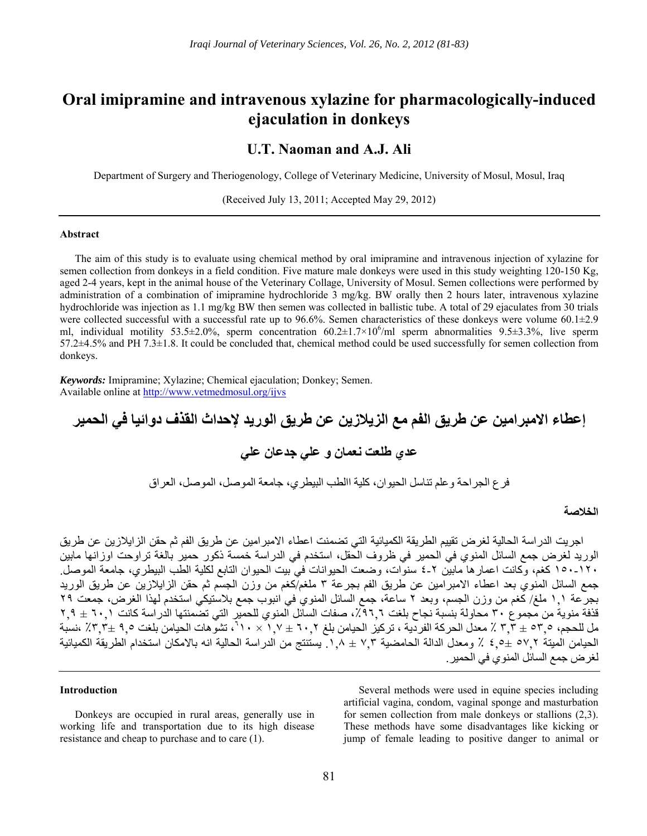## **Oral imipramine and intravenous xylazine for pharmacologically-induced ejaculation in donkeys**

### **U.T. Naoman and A.J. Ali**

Department of Surgery and Theriogenology, College of Veterinary Medicine, University of Mosul, Mosul, Iraq

(Received July 13, 2011; Accepted May 29, 2012)

#### **Abstract**

The aim of this study is to evaluate using chemical method by oral imipramine and intravenous injection of xylazine for semen collection from donkeys in a field condition. Five mature male donkeys were used in this study weighting 120-150 Kg, aged 2-4 years, kept in the animal house of the Veterinary Collage, University of Mosul. Semen collections were performed by administration of a combination of imipramine hydrochloride 3 mg/kg. BW orally then 2 hours later, intravenous xylazine hydrochloride was injection as 1.1 mg/kg BW then semen was collected in ballistic tube. A total of 29 ejaculates from 30 trials were collected successful with a successful rate up to 96.6%. Semen characteristics of these donkeys were volume 60.1 $\pm$ 2.9 ml, individual motility 53.5 $\pm$ 2.0%, sperm concentration 60.2 $\pm$ 1.7×10<sup>6</sup>/ml sperm abnormalities 9.5 $\pm$ 3.3%, live sperm 57.2±4.5% and PH 7.3±1.8. It could be concluded that, chemical method could be used successfully for semen collection from donkeys.

*Keywords:* Imipramine; Xylazine; Chemical ejaculation; Donkey; Semen. Available online at http://www.vetmedmosul.org/ijvs

# **إعطاء االمبرامين عن طريق الفم مع الزيالزين عن طريق الوريد إلحداث القذف دوائيا في الحمير**

## **عدي طلعت نعمان و علي جدعان علي**

فرع الجراحة وعلم تناسل الحيوان، كلية االطب البيطري، جامعة الموصل، الموصل، العراق

#### **الخالصة**

اجريت الدراسة الحالية لغرض تقييم الطريقة الكميائية التي تضمنت اعطاء االمبرامين عن طريق الفم ثم حقن الزايالزين عن طريق الوريد لغرض جمع السائل المنوي في الحمير في ظروف الحقل، استخدم في الدراسة خمسة ذكور حمير بالغة تراوحت اوزانھا مابين ١٥٠-١٢٠ كغم، وكانت اعمارھا مابين ٤-٢ سنوات، وضعت الحيوانات في بيت الحيوان التابع لكلية الطب البيطري، جامعة الموصل. جمع السائل المنوي بعد اعطاء الامبرامين عن طريق الفم بجرعة ٣ ملغم/كغم من وزن الجسّم ثم حقن الزايلازين عن طريق الوريد بجرعة ١,١ ملغ/ كغم من وزن الجسم، وبعد ٢ ساعة، جمع السائل المنوي في انبوب جمع بالستيكي استخدم لھذا الغرض، جمعت ٢٩ ...<br>قذفة منوية من مجموع ٣٠ محاولة بنسبة نجاح بلغت ٦,٦٦,٦، صفات السائل المنوي للحمير التي تضمنتها الدراسة كانت ٦,٠١ ± ٢,٩ مل للحجم، ٥٣,٥ ± ٣,٣ ٪ معدل الحركة الفردية ، تركيز الحيامن بلغ ٦٠,٢ ± ٠,٧ ٪ × ٠١ ، تشوَّهات الحيامن بلغت ٩,٥ ±٣,٣٪ ،نسبة الحيامن الميتة ٥٧,٢ ٤,٥± ٪ ومعدل الدالة الحامضية ٧,٣ ± .١,٨ يستنتج من الدراسة الحالية انه باالمكان استخدام الطريقة الكميائية لغرض جمع السائل المنوي في الحمير.

#### **Introduction**

Donkeys are occupied in rural areas, generally use in working life and transportation due to its high disease resistance and cheap to purchase and to care (1).

Several methods were used in equine species including artificial vagina, condom, vaginal sponge and masturbation for semen collection from male donkeys or stallions (2,3). These methods have some disadvantages like kicking or jump of female leading to positive danger to animal or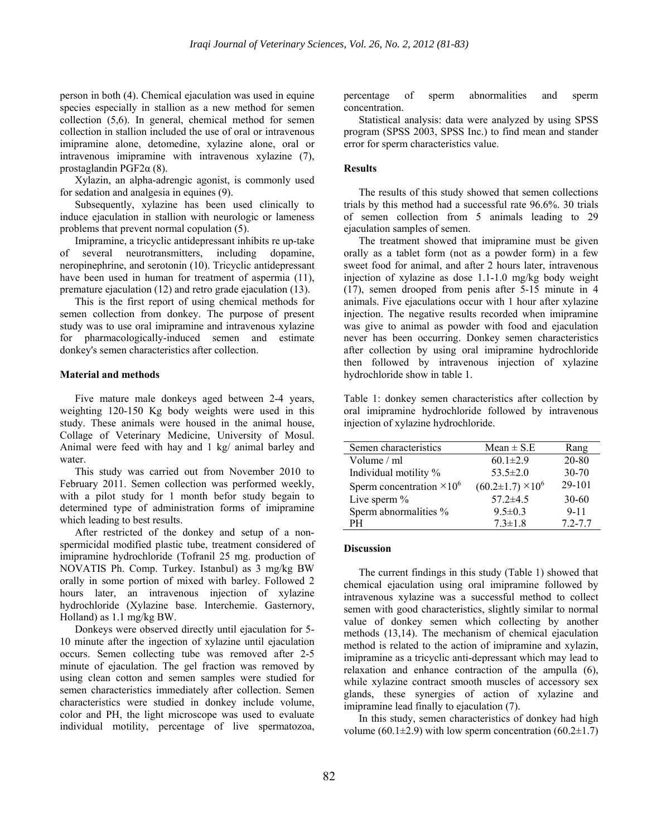person in both (4). Chemical ejaculation was used in equine species especially in stallion as a new method for semen collection (5,6). In general, chemical method for semen collection in stallion included the use of oral or intravenous imipramine alone, detomedine, xylazine alone, oral or intravenous imipramine with intravenous xylazine (7), prostaglandin PGF2α (8).

Xylazin, an alpha-adrengic agonist, is commonly used for sedation and analgesia in equines (9).

Subsequently, xylazine has been used clinically to induce ejaculation in stallion with neurologic or lameness problems that prevent normal copulation (5).

Imipramine, a tricyclic antidepressant inhibits re up-take of several neurotransmitters, including dopamine, neropinephrine, and serotonin (10). Tricyclic antidepressant have been used in human for treatment of aspermia (11), premature ejaculation (12) and retro grade ejaculation (13).

This is the first report of using chemical methods for semen collection from donkey. The purpose of present study was to use oral imipramine and intravenous xylazine for pharmacologically-induced semen and estimate donkey's semen characteristics after collection.

#### **Material and methods**

Five mature male donkeys aged between 2-4 years, weighting 120-150 Kg body weights were used in this study. These animals were housed in the animal house, Collage of Veterinary Medicine, University of Mosul. Animal were feed with hay and 1 kg/ animal barley and water

This study was carried out from November 2010 to February 2011. Semen collection was performed weekly, with a pilot study for 1 month befor study begain to determined type of administration forms of imipramine which leading to best results.

After restricted of the donkey and setup of a nonspermicidal modified plastic tube, treatment considered of imipramine hydrochloride (Tofranil 25 mg. production of NOVATIS Ph. Comp. Turkey. Istanbul) as 3 mg/kg BW orally in some portion of mixed with barley. Followed 2 hours later, an intravenous injection of xylazine hydrochloride (Xylazine base. Interchemie. Gasternory, Holland) as 1.1 mg/kg BW.

Donkeys were observed directly until ejaculation for 5- 10 minute after the ingection of xylazine until ejaculation occurs. Semen collecting tube was removed after 2-5 minute of ejaculation. The gel fraction was removed by using clean cotton and semen samples were studied for semen characteristics immediately after collection. Semen characteristics were studied in donkey include volume, color and PH, the light microscope was used to evaluate individual motility, percentage of live spermatozoa, percentage of sperm abnormalities and sperm concentration.

Statistical analysis: data were analyzed by using SPSS program (SPSS 2003, SPSS Inc.) to find mean and stander error for sperm characteristics value.

#### **Results**

The results of this study showed that semen collections trials by this method had a successful rate 96.6%. 30 trials of semen collection from 5 animals leading to 29 ejaculation samples of semen.

The treatment showed that imipramine must be given orally as a tablet form (not as a powder form) in a few sweet food for animal, and after 2 hours later, intravenous injection of xylazine as dose 1.1-1.0 mg/kg body weight (17), semen drooped from penis after 5-15 minute in 4 animals. Five ejaculations occur with 1 hour after xylazine injection. The negative results recorded when imipramine was give to animal as powder with food and ejaculation never has been occurring. Donkey semen characteristics after collection by using oral imipramine hydrochloride then followed by intravenous injection of xylazine hydrochloride show in table 1.

Table 1: donkey semen characteristics after collection by oral imipramine hydrochloride followed by intravenous injection of xylazine hydrochloride.

| Semen characteristics             | Mean $\pm$ S.E               | Rang      |
|-----------------------------------|------------------------------|-----------|
| Volume / ml                       | $60.1 \pm 2.9$               | 20-80     |
| Individual motility %             | $53.5 \pm 2.0$               | $30 - 70$ |
| Sperm concentration $\times 10^6$ | $(60.2 \pm 1.7) \times 10^6$ | 29-101    |
| Live sperm %                      | $57.2 \pm 4.5$               | $30-60$   |
| Sperm abnormalities %             | $9.5 \pm 0.3$                | $9 - 11$  |
| PН                                | $7.3 \pm 1.8$                | $72-77$   |

#### **Discussion**

The current findings in this study (Table 1) showed that chemical ejaculation using oral imipramine followed by intravenous xylazine was a successful method to collect semen with good characteristics, slightly similar to normal value of donkey semen which collecting by another methods (13,14). The mechanism of chemical ejaculation method is related to the action of imipramine and xylazin, imipramine as a tricyclic anti-depressant which may lead to relaxation and enhance contraction of the ampulla (6), while xylazine contract smooth muscles of accessory sex glands, these synergies of action of xylazine and imipramine lead finally to ejaculation (7).

In this study, semen characteristics of donkey had high volume (60.1 $\pm$ 2.9) with low sperm concentration (60.2 $\pm$ 1.7)